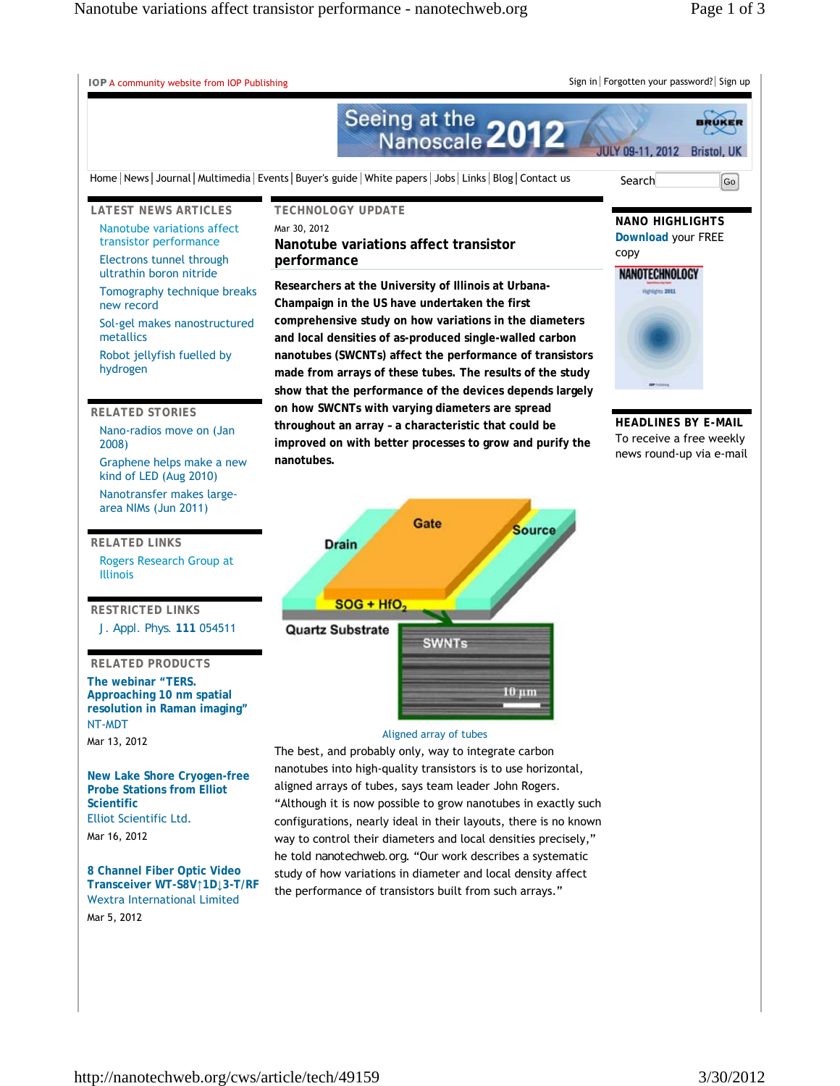A community website from IOP Publishing Sign in Forgotten your password? Sign up Seeing at the 2012 BRUKER JULY 09-11, 2012 Bristol, UK Home | News | Journal | Multimedia | Events | Buyer's guide | White papers | Jobs | Links | Blog | Contact us Search Go **LATEST NEWS ARTICLES TECHNOLOGY UPDATE NANO HIGHLIGHTS** Nanotube variations affect Mar 30, 2012 **Download** your FREE transistor performance **Nanotube variations affect transistor**  copy **performance** Electrons tunnel through NANOTECHNOLOGY ultrathin boron nitride **Researchers at the University of Illinois at Urbana-**Highlights 2011 Tomography technique breaks **Champaign in the US have undertaken the first**  new record **comprehensive study on how variations in the diameters**  Sol-gel makes nanostructured metallics **and local densities of as-produced single-walled carbon nanotubes (SWCNTs) affect the performance of transistors**  Robot jellyfish fuelled by hydrogen **made from arrays of these tubes. The results of the study show that the performance of the devices depends largely on how SWCNTs with varying diameters are spread RELATED STORIES HEADLINES BY E-MAIL throughout an array – a characteristic that could be**  Nano-radios move on (Jan To receive a free weekly **improved on with better processes to grow and purify the**  2008) news round-up via e-mail **nanotubes.** Graphene helps make a new kind of LED (Aug 2010) Nanotransfer makes largearea NIMs (Jun 2011) Gate **Source RELATED LINKS Drain** Rogers Research Group at Illinois  $SOG + HfO$ **RESTRICTED LINKS** *J. Appl. Phys.* **111** 054511 **Quartz Substrate SWNTs RELATED PRODUCTS The webinar "TERS.**   $10 \mu m$ **Approaching 10 nm spatial resolution in Raman imaging"** NT-MDT Aligned array of tubes Mar 13, 2012 The best, and probably only, way to integrate carbon nanotubes into high-quality transistors is to use horizontal, **New Lake Shore Cryogen-free**  aligned arrays of tubes, says team leader John Rogers. **Probe Stations from Elliot Scientific** "Although it is now possible to grow nanotubes in exactly such Elliot Scientific Ltd. configurations, nearly ideal in their layouts, there is no known Mar 16, 2012 way to control their diameters and local densities precisely," he told *nanotechweb.org*. "Our work describes a systematic

**8 Channel Fiber Optic Video Transceiver WT-S8V↑1D↓3-T/RF** Wextra International Limited Mar 5, 2012

study of how variations in diameter and local density affect the performance of transistors built from such arrays."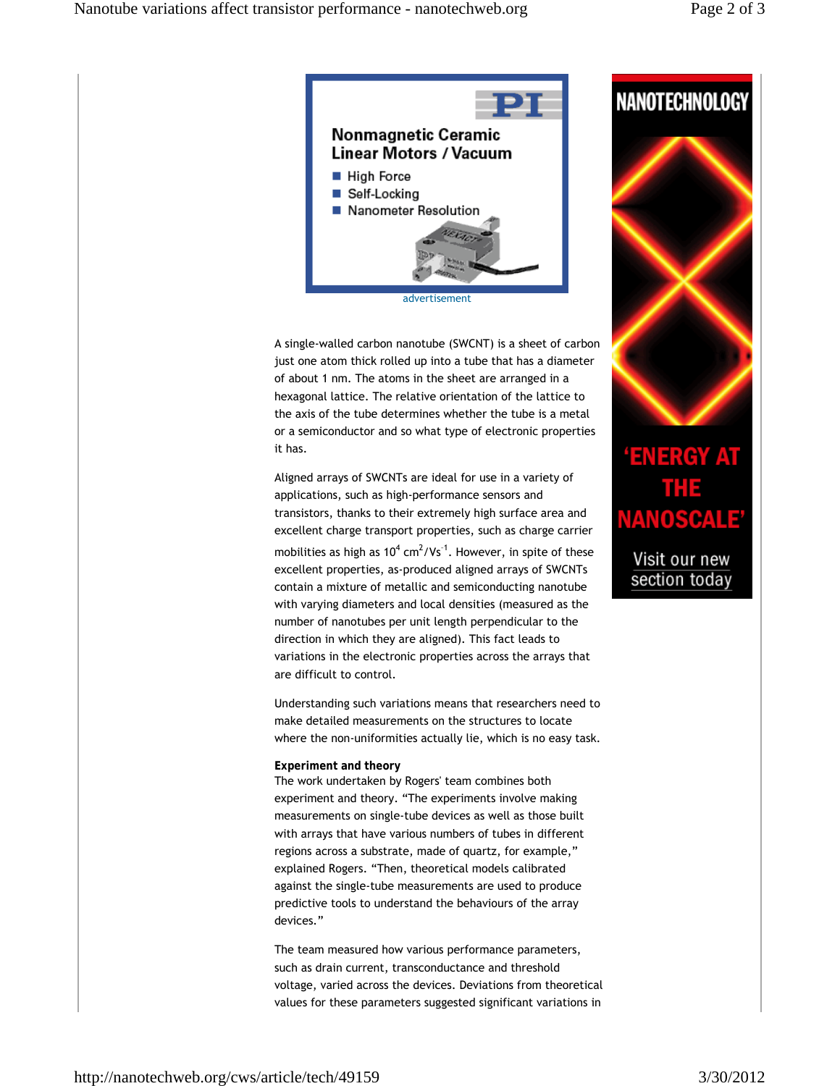

advertisement

A single-walled carbon nanotube (SWCNT) is a sheet of carbon just one atom thick rolled up into a tube that has a diameter of about 1 nm. The atoms in the sheet are arranged in a hexagonal lattice. The relative orientation of the lattice to the axis of the tube determines whether the tube is a metal or a semiconductor and so what type of electronic properties it has.

Aligned arrays of SWCNTs are ideal for use in a variety of applications, such as high-performance sensors and transistors, thanks to their extremely high surface area and excellent charge transport properties, such as charge carrier mobilities as high as  $10^4$  cm<sup>2</sup>/Vs<sup>-1</sup>. However, in spite of these excellent properties, as-produced aligned arrays of SWCNTs contain a mixture of metallic and semiconducting nanotube with varying diameters and local densities (measured as the number of nanotubes per unit length perpendicular to the direction in which they are aligned). This fact leads to variations in the electronic properties across the arrays that are difficult to control.

Understanding such variations means that researchers need to make detailed measurements on the structures to locate where the non-uniformities actually lie, which is no easy task.

## **Experiment and theory**

The work undertaken by Rogers' team combines both experiment and theory. "The experiments involve making measurements on single-tube devices as well as those built with arrays that have various numbers of tubes in different regions across a substrate, made of quartz, for example," explained Rogers. "Then, theoretical models calibrated against the single-tube measurements are used to produce predictive tools to understand the behaviours of the array devices."

The team measured how various performance parameters, such as drain current, transconductance and threshold voltage, varied across the devices. Deviations from theoretical values for these parameters suggested significant variations in





## **ENERGY AT** THE **NANOSCALE'**

Visit our new section today